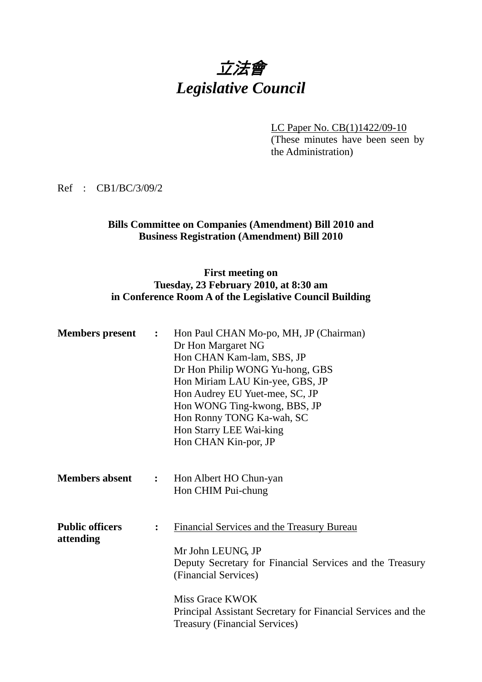# 立法會 *Legislative Council*

LC Paper No. CB(1)1422/09-10 (These minutes have been seen by the Administration)

Ref : CB1/BC/3/09/2

## **Bills Committee on Companies (Amendment) Bill 2010 and Business Registration (Amendment) Bill 2010**

## **First meeting on Tuesday, 23 February 2010, at 8:30 am in Conference Room A of the Legislative Council Building**

| <b>Members</b> present              | $\ddot{\cdot}$ | Hon Paul CHAN Mo-po, MH, JP (Chairman)<br>Dr Hon Margaret NG<br>Hon CHAN Kam-lam, SBS, JP<br>Dr Hon Philip WONG Yu-hong, GBS<br>Hon Miriam LAU Kin-yee, GBS, JP<br>Hon Audrey EU Yuet-mee, SC, JP<br>Hon WONG Ting-kwong, BBS, JP<br>Hon Ronny TONG Ka-wah, SC<br>Hon Starry LEE Wai-king<br>Hon CHAN Kin-por, JP |
|-------------------------------------|----------------|-------------------------------------------------------------------------------------------------------------------------------------------------------------------------------------------------------------------------------------------------------------------------------------------------------------------|
| <b>Members absent</b>               | $\ddot{\cdot}$ | Hon Albert HO Chun-yan<br>Hon CHIM Pui-chung                                                                                                                                                                                                                                                                      |
| <b>Public officers</b><br>attending | $\ddot{\cdot}$ | Financial Services and the Treasury Bureau<br>Mr John LEUNG, JP<br>Deputy Secretary for Financial Services and the Treasury<br>(Financial Services)<br>Miss Grace KWOK<br>Principal Assistant Secretary for Financial Services and the<br><b>Treasury (Financial Services)</b>                                    |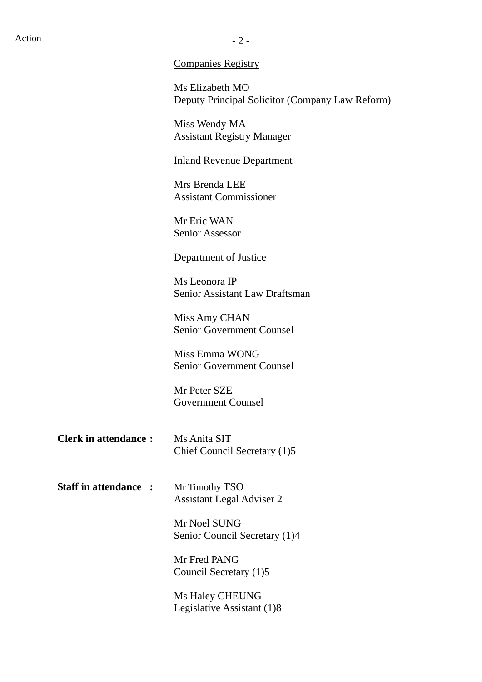# $Action$   $-2$  -

Companies Registry

Ms Elizabeth MO Deputy Principal Solicitor (Company Law Reform)

Miss Wendy MA Assistant Registry Manager

#### Inland Revenue Department

Mrs Brenda LEE Assistant Commissioner

Mr Eric WAN Senior Assessor

#### Department of Justice

Ms Leonora IP Senior Assistant Law Draftsman

Miss Amy CHAN Senior Government Counsel

Miss Emma WONG Senior Government Counsel

Mr Peter SZE Government Counsel

- **Clerk in attendance :** Ms Anita SIT Chief Council Secretary (1)5
- **Staff in attendance :** Mr Timothy TSO Assistant Legal Adviser 2

 $\overline{a}$ 

Mr Noel SUNG Senior Council Secretary (1)4

Mr Fred PANG Council Secretary (1)5

Ms Haley CHEUNG Legislative Assistant (1)8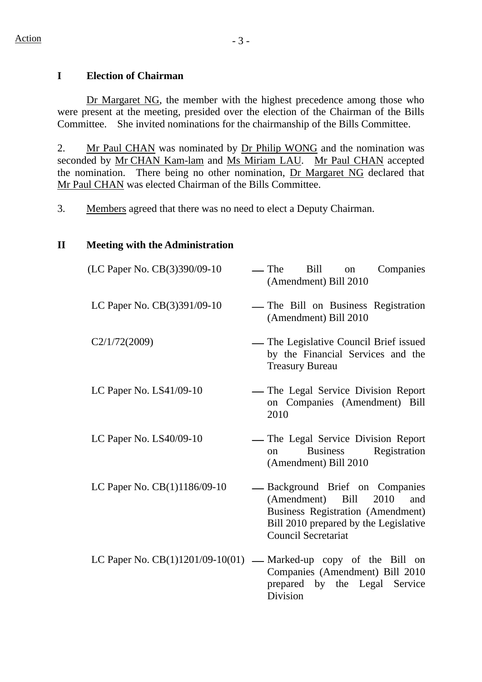# **I Election of Chairman**

Dr Margaret NG, the member with the highest precedence among those who were present at the meeting, presided over the election of the Chairman of the Bills Committee. She invited nominations for the chairmanship of the Bills Committee.

2. Mr Paul CHAN was nominated by Dr Philip WONG and the nomination was seconded by Mr CHAN Kam-lam and Ms Miriam LAU. Mr Paul CHAN accepted the nomination. There being no other nomination, Dr Margaret NG declared that Mr Paul CHAN was elected Chairman of the Bills Committee.

3. Members agreed that there was no need to elect a Deputy Chairman.

# **II Meeting with the Administration**

| (LC Paper No. CB(3)390/09-10 | — The<br>Bill<br>Companies<br>on<br>(Amendment) Bill 2010                                                                                                                             |
|------------------------------|---------------------------------------------------------------------------------------------------------------------------------------------------------------------------------------|
| LC Paper No. CB(3)391/09-10  | - The Bill on Business Registration<br>(Amendment) Bill 2010                                                                                                                          |
| C2/1/72(2009)                | — The Legislative Council Brief issued<br>by the Financial Services and the<br><b>Treasury Bureau</b>                                                                                 |
| LC Paper No. $LS41/09-10$    | - The Legal Service Division Report<br>on Companies (Amendment) Bill<br>2010                                                                                                          |
| LC Paper No. LS40/09-10      | - The Legal Service Division Report<br>Registration<br><b>Business</b><br>on<br>(Amendment) Bill 2010                                                                                 |
| LC Paper No. CB(1)1186/09-10 | - Background Brief on Companies<br>2010<br>(Amendment) Bill<br>and<br><b>Business Registration (Amendment)</b><br>Bill 2010 prepared by the Legislative<br><b>Council Secretariat</b> |
|                              | LC Paper No. $CB(1)1201/09-10(01)$ — Marked-up copy of the Bill on<br>Companies (Amendment) Bill 2010<br>prepared by the Legal Service<br>Division                                    |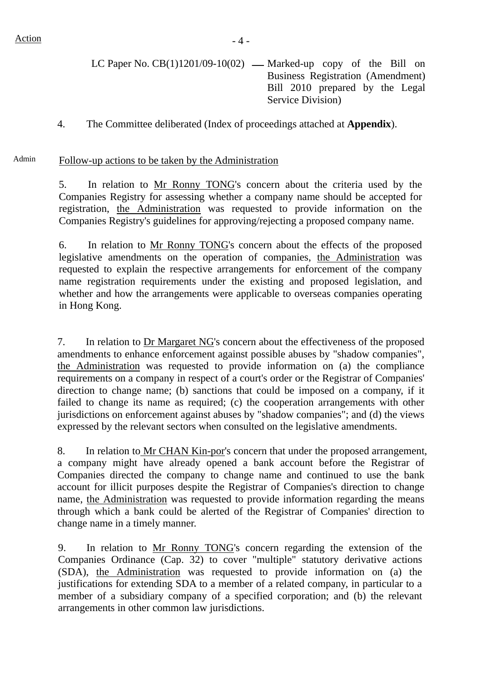- LC Paper No.  $CB(1)1201/09-10(02)$  Marked-up copy of the Bill on Business Registration (Amendment) Bill 2010 prepared by the Legal Service Division)
- 4. The Committee deliberated (Index of proceedings attached at **Appendix**).

#### Admin Follow-up actions to be taken by the Administration

5. In relation to Mr Ronny TONG's concern about the criteria used by the Companies Registry for assessing whether a company name should be accepted for registration, the Administration was requested to provide information on the Companies Registry's guidelines for approving/rejecting a proposed company name.

6. In relation to Mr Ronny TONG's concern about the effects of the proposed legislative amendments on the operation of companies, the Administration was requested to explain the respective arrangements for enforcement of the company name registration requirements under the existing and proposed legislation, and whether and how the arrangements were applicable to overseas companies operating in Hong Kong.

7. In relation to Dr Margaret NG's concern about the effectiveness of the proposed amendments to enhance enforcement against possible abuses by "shadow companies", the Administration was requested to provide information on (a) the compliance requirements on a company in respect of a court's order or the Registrar of Companies' direction to change name; (b) sanctions that could be imposed on a company, if it failed to change its name as required; (c) the cooperation arrangements with other jurisdictions on enforcement against abuses by "shadow companies"; and (d) the views expressed by the relevant sectors when consulted on the legislative amendments.

8. In relation to Mr CHAN Kin-por's concern that under the proposed arrangement, a company might have already opened a bank account before the Registrar of Companies directed the company to change name and continued to use the bank account for illicit purposes despite the Registrar of Companies's direction to change name, the Administration was requested to provide information regarding the means through which a bank could be alerted of the Registrar of Companies' direction to change name in a timely manner.

9. In relation to Mr Ronny TONG's concern regarding the extension of the Companies Ordinance (Cap. 32) to cover "multiple" statutory derivative actions (SDA), the Administration was requested to provide information on (a) the justifications for extending SDA to a member of a related company, in particular to a member of a subsidiary company of a specified corporation; and (b) the relevant arrangements in other common law jurisdictions.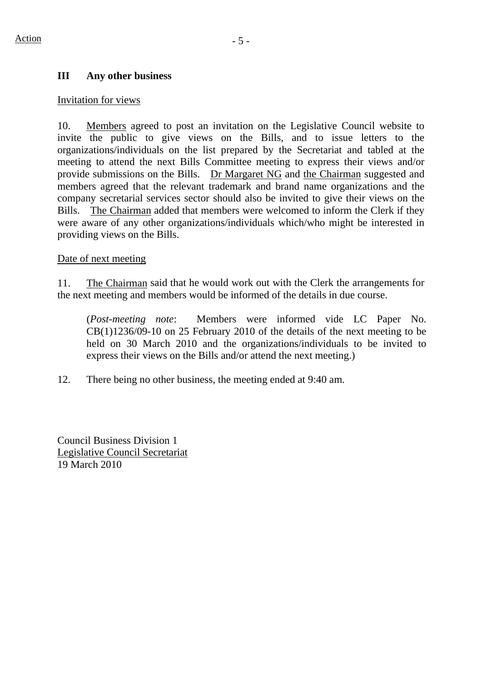#### **III Any other business**

#### Invitation for views

10. Members agreed to post an invitation on the Legislative Council website to invite the public to give views on the Bills, and to issue letters to the organizations/individuals on the list prepared by the Secretariat and tabled at the meeting to attend the next Bills Committee meeting to express their views and/or provide submissions on the Bills. Dr Margaret NG and the Chairman suggested and members agreed that the relevant trademark and brand name organizations and the company secretarial services sector should also be invited to give their views on the Bills. The Chairman added that members were welcomed to inform the Clerk if they were aware of any other organizations/individuals which/who might be interested in providing views on the Bills.

#### Date of next meeting

11. The Chairman said that he would work out with the Clerk the arrangements for the next meeting and members would be informed of the details in due course.

(*Post-meeting note*: Members were informed vide LC Paper No. CB(1)1236/09-10 on 25 February 2010 of the details of the next meeting to be held on 30 March 2010 and the organizations/individuals to be invited to express their views on the Bills and/or attend the next meeting.)

12. There being no other business, the meeting ended at 9:40 am.

Council Business Division 1 Legislative Council Secretariat 19 March 2010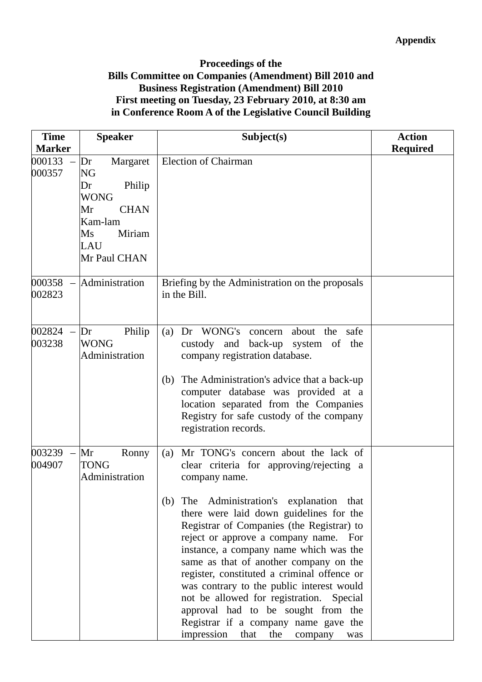## **Proceedings of the Bills Committee on Companies (Amendment) Bill 2010 and Business Registration (Amendment) Bill 2010 First meeting on Tuesday, 23 February 2010, at 8:30 am in Conference Room A of the Legislative Council Building**

| <b>Time</b><br><b>Marker</b> | <b>Speaker</b>                                                                                                                                 | Subject(s)                                                                                                                                                                                                                                                                                                                                                                                                                                                                                                                                                                                                                                  | <b>Action</b><br><b>Required</b> |
|------------------------------|------------------------------------------------------------------------------------------------------------------------------------------------|---------------------------------------------------------------------------------------------------------------------------------------------------------------------------------------------------------------------------------------------------------------------------------------------------------------------------------------------------------------------------------------------------------------------------------------------------------------------------------------------------------------------------------------------------------------------------------------------------------------------------------------------|----------------------------------|
| 000133<br>000357             | Margaret<br>Dr<br>NG<br>Dr<br>Philip<br><b>WONG</b><br>Mr<br><b>CHAN</b><br>Kam-lam<br>Miriam<br>$\overline{\text{Ms}}$<br>LAU<br>Mr Paul CHAN | <b>Election of Chairman</b>                                                                                                                                                                                                                                                                                                                                                                                                                                                                                                                                                                                                                 |                                  |
| 000358<br>$\equiv$<br>002823 | Administration                                                                                                                                 | Briefing by the Administration on the proposals<br>in the Bill.                                                                                                                                                                                                                                                                                                                                                                                                                                                                                                                                                                             |                                  |
| 002824<br>003238             | Philip<br>Dr<br><b>WONG</b><br>Administration                                                                                                  | Dr WONG's concern<br>(a)<br>about the<br>safe<br>back-up<br>custody<br>and<br>system of the<br>company registration database.<br>The Administration's advice that a back-up<br>(b)<br>computer database was provided at a<br>location separated from the Companies<br>Registry for safe custody of the company<br>registration records.                                                                                                                                                                                                                                                                                                     |                                  |
| 003239<br>004907             | Mr<br>Ronny<br><b>TONG</b><br>Administration                                                                                                   | Mr TONG's concern about the lack of<br>(a)<br>clear criteria for approving/rejecting a<br>company name.<br>(b) The Administration's explanation that<br>there were laid down guidelines for the<br>Registrar of Companies (the Registrar) to<br>reject or approve a company name. For<br>instance, a company name which was the<br>same as that of another company on the<br>register, constituted a criminal offence or<br>was contrary to the public interest would<br>not be allowed for registration. Special<br>approval had to be sought from the<br>Registrar if a company name gave the<br>impression that<br>the<br>company<br>was |                                  |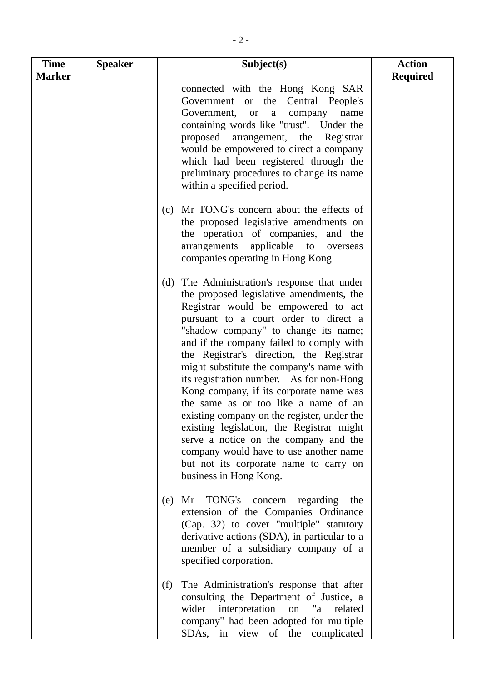| <b>Time</b>   | <b>Speaker</b> | Subject(s)                                                                                                                                                                                                                                                                                                                                                                                                                                                                                                                                                                                                                                                                                                                                | <b>Action</b>   |
|---------------|----------------|-------------------------------------------------------------------------------------------------------------------------------------------------------------------------------------------------------------------------------------------------------------------------------------------------------------------------------------------------------------------------------------------------------------------------------------------------------------------------------------------------------------------------------------------------------------------------------------------------------------------------------------------------------------------------------------------------------------------------------------------|-----------------|
| <b>Marker</b> |                |                                                                                                                                                                                                                                                                                                                                                                                                                                                                                                                                                                                                                                                                                                                                           | <b>Required</b> |
|               |                | connected with the Hong Kong SAR<br>Government or the Central People's<br>Government, or a<br>company<br>name<br>containing words like "trust". Under the<br>proposed arrangement, the Registrar<br>would be empowered to direct a company<br>which had been registered through the<br>preliminary procedures to change its name<br>within a specified period.                                                                                                                                                                                                                                                                                                                                                                            |                 |
|               |                | Mr TONG's concern about the effects of<br>(c)<br>the proposed legislative amendments on<br>the operation of companies, and the<br>applicable to overseas<br>arrangements<br>companies operating in Hong Kong.                                                                                                                                                                                                                                                                                                                                                                                                                                                                                                                             |                 |
|               |                | The Administration's response that under<br>(d)<br>the proposed legislative amendments, the<br>Registrar would be empowered to act<br>pursuant to a court order to direct a<br>"shadow company" to change its name;<br>and if the company failed to comply with<br>the Registrar's direction, the Registrar<br>might substitute the company's name with<br>its registration number. As for non-Hong<br>Kong company, if its corporate name was<br>the same as or too like a name of an<br>existing company on the register, under the<br>existing legislation, the Registrar might<br>serve a notice on the company and the<br>company would have to use another name<br>but not its corporate name to carry on<br>business in Hong Kong. |                 |
|               |                | Mr TONG's<br>concern<br>regarding<br>(e)<br>the<br>extension of the Companies Ordinance<br>(Cap. 32) to cover "multiple" statutory<br>derivative actions (SDA), in particular to a<br>member of a subsidiary company of a<br>specified corporation.                                                                                                                                                                                                                                                                                                                                                                                                                                                                                       |                 |
|               |                | The Administration's response that after<br>(f)<br>consulting the Department of Justice, a<br>wider interpretation<br>on<br>"a<br>related<br>company" had been adopted for multiple<br>SDAs, in view of the complicated                                                                                                                                                                                                                                                                                                                                                                                                                                                                                                                   |                 |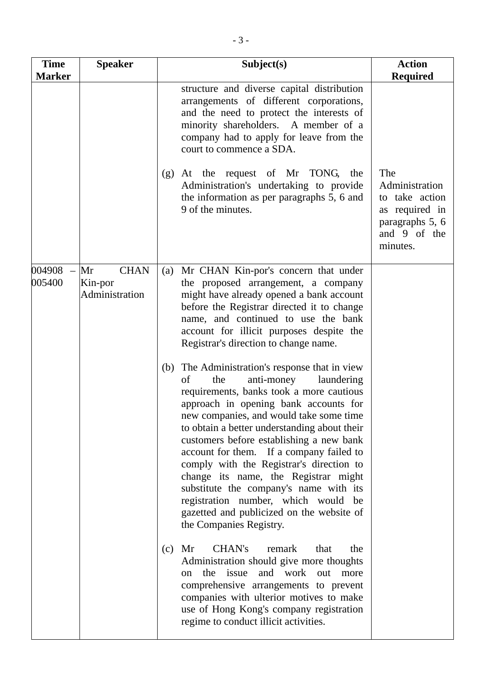| <b>Time</b><br><b>Marker</b> | <b>Speaker</b>                                 | Subject(s)                                                                                                                                                                                                                                                                                                                                                                                                                                                                                                                                                                                                      | <b>Action</b><br><b>Required</b>                                                                         |
|------------------------------|------------------------------------------------|-----------------------------------------------------------------------------------------------------------------------------------------------------------------------------------------------------------------------------------------------------------------------------------------------------------------------------------------------------------------------------------------------------------------------------------------------------------------------------------------------------------------------------------------------------------------------------------------------------------------|----------------------------------------------------------------------------------------------------------|
|                              |                                                | structure and diverse capital distribution<br>arrangements of different corporations,<br>and the need to protect the interests of<br>minority shareholders. A member of a<br>company had to apply for leave from the<br>court to commence a SDA.                                                                                                                                                                                                                                                                                                                                                                |                                                                                                          |
|                              |                                                | At the request of Mr TONG,<br>(g)<br>the<br>Administration's undertaking to provide<br>the information as per paragraphs 5, 6 and<br>9 of the minutes.                                                                                                                                                                                                                                                                                                                                                                                                                                                          | The<br>Administration<br>to take action<br>as required in<br>paragraphs 5, 6<br>and 9 of the<br>minutes. |
| 004908<br>005400             | <b>CHAN</b><br>Mr<br>Kin-por<br>Administration | Mr CHAN Kin-por's concern that under<br>(a)<br>the proposed arrangement, a company<br>might have already opened a bank account<br>before the Registrar directed it to change<br>name, and continued to use the bank<br>account for illicit purposes despite the<br>Registrar's direction to change name.                                                                                                                                                                                                                                                                                                        |                                                                                                          |
|                              |                                                | The Administration's response that in view<br>(b)<br>of<br>anti-money<br>laundering<br>the<br>requirements, banks took a more cautious<br>approach in opening bank accounts for<br>new companies, and would take some time<br>to obtain a better understanding about their<br>customers before establishing a new bank<br>account for them. If a company failed to<br>comply with the Registrar's direction to<br>change its name, the Registrar might<br>substitute the company's name with its<br>registration number, which would be<br>gazetted and publicized on the website of<br>the Companies Registry. |                                                                                                          |
|                              |                                                | CHAN's<br>(c)<br>Mr<br>remark<br>that<br>the<br>Administration should give more thoughts<br>the issue and work out more<br>on<br>comprehensive arrangements to prevent<br>companies with ulterior motives to make<br>use of Hong Kong's company registration<br>regime to conduct illicit activities.                                                                                                                                                                                                                                                                                                           |                                                                                                          |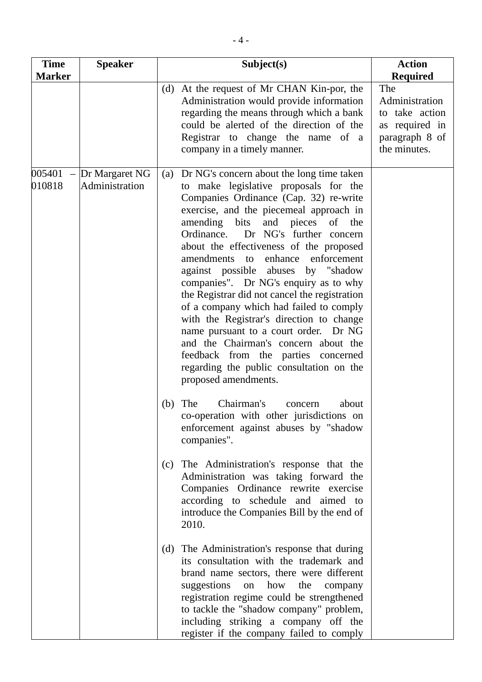| <b>Time</b>      | <b>Speaker</b>                   | Subject(s)                                                                                                                                                                                                                                                                                                                                                                                                                                                                                                                                                                                                                                                                                                                                                                                                             | <b>Action</b>                                                                               |
|------------------|----------------------------------|------------------------------------------------------------------------------------------------------------------------------------------------------------------------------------------------------------------------------------------------------------------------------------------------------------------------------------------------------------------------------------------------------------------------------------------------------------------------------------------------------------------------------------------------------------------------------------------------------------------------------------------------------------------------------------------------------------------------------------------------------------------------------------------------------------------------|---------------------------------------------------------------------------------------------|
| <b>Marker</b>    |                                  |                                                                                                                                                                                                                                                                                                                                                                                                                                                                                                                                                                                                                                                                                                                                                                                                                        | <b>Required</b>                                                                             |
|                  |                                  | (d) At the request of Mr CHAN Kin-por, the<br>Administration would provide information<br>regarding the means through which a bank<br>could be alerted of the direction of the<br>Registrar to change the name of a<br>company in a timely manner.                                                                                                                                                                                                                                                                                                                                                                                                                                                                                                                                                                     | The<br>Administration<br>to take action<br>as required in<br>paragraph 8 of<br>the minutes. |
| 005401<br>010818 | Dr Margaret NG<br>Administration | Dr NG's concern about the long time taken<br>(a)<br>to make legislative proposals for the<br>Companies Ordinance (Cap. 32) re-write<br>exercise, and the piecemeal approach in<br>and pieces<br>amending<br>bits<br>of the<br>Ordinance.<br>Dr NG's further concern<br>about the effectiveness of the proposed<br>amendments to enhance enforcement<br>against possible abuses by "shadow<br>companies". Dr NG's enquiry as to why<br>the Registrar did not cancel the registration<br>of a company which had failed to comply<br>with the Registrar's direction to change<br>name pursuant to a court order. Dr NG<br>and the Chairman's concern about the<br>feedback from the parties concerned<br>regarding the public consultation on the<br>proposed amendments.<br>Chairman's<br>The<br>(b)<br>about<br>concern |                                                                                             |
|                  |                                  | co-operation with other jurisdictions on<br>enforcement against abuses by "shadow<br>companies".                                                                                                                                                                                                                                                                                                                                                                                                                                                                                                                                                                                                                                                                                                                       |                                                                                             |
|                  |                                  | The Administration's response that the<br>(c)<br>Administration was taking forward the<br>Companies Ordinance rewrite exercise<br>according to schedule and aimed to<br>introduce the Companies Bill by the end of<br>2010.                                                                                                                                                                                                                                                                                                                                                                                                                                                                                                                                                                                            |                                                                                             |
|                  |                                  | The Administration's response that during<br>(d)<br>its consultation with the trademark and<br>brand name sectors, there were different<br>suggestions on how the<br>company<br>registration regime could be strengthened<br>to tackle the "shadow company" problem,<br>including striking a company off the<br>register if the company failed to comply                                                                                                                                                                                                                                                                                                                                                                                                                                                               |                                                                                             |